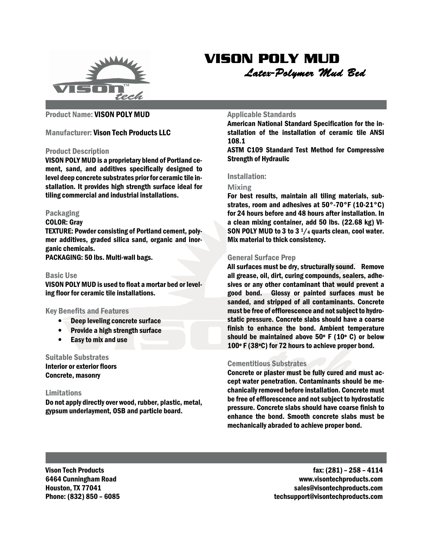

## VISON POLY MUD

Latex-Polymer Mud Bed

## Product Name: VISON POLY MUD

## Manufacturer: Vison Tech Products LLC

#### Product Description

VISON POLY MUD is a proprietary blend of Portland cement, sand, and additives specifically designed to level deep concrete substrates prior for ceramic tile installation. It provides high strength surface ideal for tiling commercial and industrial installations.

#### Packaging

#### COLOR: Gray

TEXTURE: Powder consisting of Portland cement, polymer additives, graded silica sand, organic and inorganic chemicals.

PACKAGING: 50 lbs. Multi-wall bags.

## Basic Use

VISON POLY MUD is used to float a mortar bed or leveling floor for ceramic tile installations.

#### Key Benefits and Features

- Deep leveling concrete surface
- Provide a high strength surface
- Easy to mix and use

## Suitable Substrates

Interior or exterior floors Concrete, masonry

## Limitations

Do not apply directly over wood, rubber, plastic, metal, gypsum underlayment, OSB and particle board.

#### Applicable Standards

American National Standard Specification for the installation of the installation of ceramic tile ANSI 108.1

ASTM C109 Standard Test Method for Compressive Strength of Hydraulic

## Installation:

#### Mixing

For best results, maintain all tiling materials, substrates, room and adhesives at 50°-70°F (10-21°C) for 24 hours before and 48 hours after installation. In a clean mixing container, add 50 lbs. (22.68 kg) VI-SON POLY MUD to 3 to 3  $1/4$  quarts clean, cool water. Mix material to thick consistency.

## General Surface Prep

All surfaces must be dry, structurally sound. Remove all grease, oil, dirt, curing compounds, sealers, adhesives or any other contaminant that would prevent a good bond. Glossy or painted surfaces must be sanded, and stripped of all contaminants. Concrete must be free of efflorescence and not subject to hydrostatic pressure. Concrete slabs should have a coarse finish to enhance the bond. Ambient temperature should be maintained above 50º F (10º C) or below 100º F (38ºC) for 72 hours to achieve proper bond.

## Cementitious Substrates

Concrete or plaster must be fully cured and must accept water penetration. Contaminants should be mechanically removed before installation. Concrete must be free of efflorescence and not subject to hydrostatic pressure. Concrete slabs should have coarse finish to enhance the bond. Smooth concrete slabs must be mechanically abraded to achieve proper bond.

Vison Tech Products 6464 Cunningham Road Houston, TX 77041 Phone: (832) 850 – 6085

 fax: (281) – 258 – 4114 www.visontechproducts.com sales@visontechproducts.com techsupport@visontechproducts.com